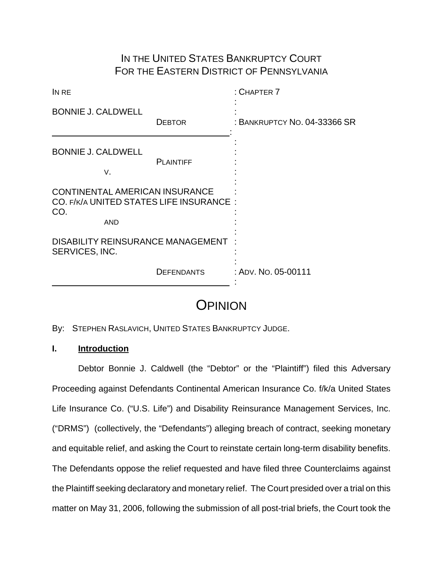## IN THE UNITED STATES BANKRUPTCY COURT FOR THE EASTERN DISTRICT OF PENNSYLVANIA

| IN RE                                                                                          |                   | $:$ CHAPTER $7$              |
|------------------------------------------------------------------------------------------------|-------------------|------------------------------|
| <b>BONNIE J. CALDWELL</b>                                                                      | <b>DEBTOR</b>     | : BANKRUPTCY NO. 04-33366 SR |
| <b>BONNIE J. CALDWELL</b><br>٧.                                                                | <b>PLAINTIFF</b>  |                              |
| CONTINENTAL AMERICAN INSURANCE<br>CO. F/K/A UNITED STATES LIFE INSURANCE:<br>CO.<br><b>AND</b> |                   |                              |
| <b>DISABILITY REINSURANCE MANAGEMENT</b><br>SERVICES, INC.                                     |                   |                              |
|                                                                                                | <b>DEFENDANTS</b> | : ADV. No. 05-00111          |

# **OPINION**

By: STEPHEN RASLAVICH, UNITED STATES BANKRUPTCY JUDGE.

## **I. Introduction**

Debtor Bonnie J. Caldwell (the "Debtor" or the "Plaintiff") filed this Adversary Proceeding against Defendants Continental American Insurance Co. f/k/a United States Life Insurance Co. ("U.S. Life") and Disability Reinsurance Management Services, Inc. ("DRMS") (collectively, the "Defendants") alleging breach of contract, seeking monetary and equitable relief, and asking the Court to reinstate certain long-term disability benefits. The Defendants oppose the relief requested and have filed three Counterclaims against the Plaintiff seeking declaratory and monetary relief. The Court presided over a trial on this matter on May 31, 2006, following the submission of all post-trial briefs, the Court took the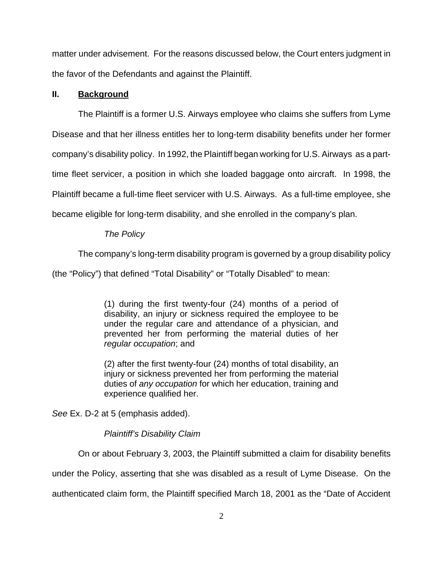matter under advisement. For the reasons discussed below, the Court enters judgment in the favor of the Defendants and against the Plaintiff.

## **II. Background**

The Plaintiff is a former U.S. Airways employee who claims she suffers from Lyme Disease and that her illness entitles her to long-term disability benefits under her former company's disability policy. In 1992, the Plaintiff began working for U.S. Airways as a parttime fleet servicer, a position in which she loaded baggage onto aircraft. In 1998, the Plaintiff became a full-time fleet servicer with U.S. Airways. As a full-time employee, she became eligible for long-term disability, and she enrolled in the company's plan.

## *The Policy*

The company's long-term disability program is governed by a group disability policy

(the "Policy") that defined "Total Disability" or "Totally Disabled" to mean:

(1) during the first twenty-four (24) months of a period of disability, an injury or sickness required the employee to be under the regular care and attendance of a physician, and prevented her from performing the material duties of her *regular occupation*; and

(2) after the first twenty-four (24) months of total disability, an iniurv or sickness prevented her from performing the material duties of *any occupation* for which her education, training and experience qualified her.

*See* Ex. D-2 at 5 (emphasis added).

## *Plaintiff's Disability Claim*

On or about February 3, 2003, the Plaintiff submitted a claim for disability benefits

under the Policy, asserting that she was disabled as a result of Lyme Disease. On the

authenticated claim form, the Plaintiff specified March 18, 2001 as the "Date of Accident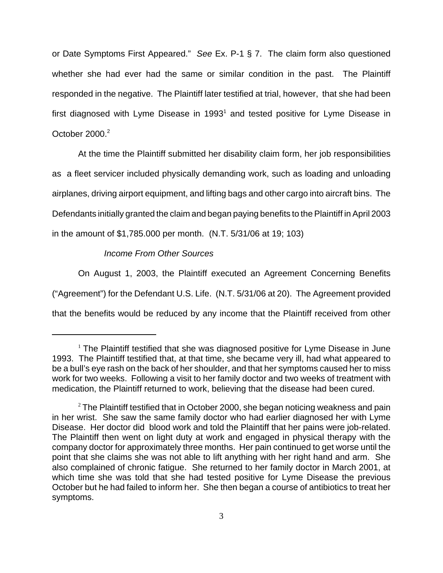or Date Symptoms First Appeared." *See* Ex. P-1 § 7. The claim form also questioned whether she had ever had the same or similar condition in the past. The Plaintiff responded in the negative. The Plaintiff later testified at trial, however, that she had been first diagnosed with Lyme Disease in 1993<sup>1</sup> and tested positive for Lyme Disease in October 2000.<sup>2</sup>

At the time the Plaintiff submitted her disability claim form, her job responsibilities as a fleet servicer included physically demanding work, such as loading and unloading airplanes, driving airport equipment, and lifting bags and other cargo into aircraft bins. The Defendants initially granted the claim and began paying benefits to the Plaintiff in April 2003 in the amount of \$1,785.000 per month. (N.T. 5/31/06 at 19; 103)

### *Income From Other Sources*

On August 1, 2003, the Plaintiff executed an Agreement Concerning Benefits ("Agreement") for the Defendant U.S. Life. (N.T. 5/31/06 at 20). The Agreement provided that the benefits would be reduced by any income that the Plaintiff received from other

 $<sup>1</sup>$  The Plaintiff testified that she was diagnosed positive for Lyme Disease in June</sup> 1993. The Plaintiff testified that, at that time, she became very ill, had what appeared to be a bull's eye rash on the back of her shoulder, and that her symptoms caused her to miss work for two weeks. Following a visit to her family doctor and two weeks of treatment with medication, the Plaintiff returned to work, believing that the disease had been cured.

 $2$  The Plaintiff testified that in October 2000, she began noticing weakness and pain in her wrist. She saw the same family doctor who had earlier diagnosed her with Lyme Disease. Her doctor did blood work and told the Plaintiff that her pains were job-related. The Plaintiff then went on light duty at work and engaged in physical therapy with the company doctor for approximately three months. Her pain continued to get worse until the point that she claims she was not able to lift anything with her right hand and arm. She also complained of chronic fatigue. She returned to her family doctor in March 2001, at which time she was told that she had tested positive for Lyme Disease the previous October but he had failed to inform her. She then began a course of antibiotics to treat her symptoms.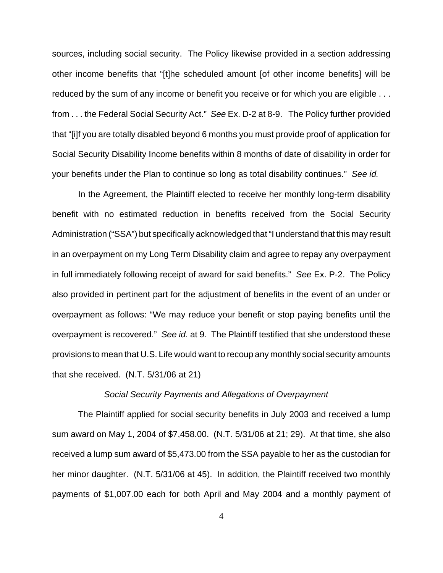sources, including social security. The Policy likewise provided in a section addressing other income benefits that "[t]he scheduled amount [of other income benefits] will be reduced by the sum of any income or benefit you receive or for which you are eligible ... from . . . the Federal Social Security Act." *See* Ex. D-2 at 8-9. The Policy further provided that "[i]f you are totally disabled beyond 6 months you must provide proof of application for Social Security Disability Income benefits within 8 months of date of disability in order for your benefits under the Plan to continue so long as total disability continues." *See id.*

In the Agreement, the Plaintiff elected to receive her monthly long-term disability benefit with no estimated reduction in benefits received from the Social Security Administration ("SSA") but specifically acknowledged that "I understand that this may result in an overpayment on my Long Term Disability claim and agree to repay any overpayment in full immediately following receipt of award for said benefits." *See* Ex. P-2. The Policy also provided in pertinent part for the adjustment of benefits in the event of an under or overpayment as follows: "We may reduce your benefit or stop paying benefits until the overpayment is recovered." *See id.* at 9. The Plaintiff testified that she understood these provisions to mean that U.S. Life would want to recoup any monthly social security amounts that she received. (N.T. 5/31/06 at 21)

### *Social Security Payments and Allegations of Overpayment*

The Plaintiff applied for social security benefits in July 2003 and received a lump sum award on May 1, 2004 of \$7,458.00. (N.T. 5/31/06 at 21; 29). At that time, she also received a lump sum award of \$5,473.00 from the SSA payable to her as the custodian for her minor daughter. (N.T. 5/31/06 at 45). In addition, the Plaintiff received two monthly payments of \$1,007.00 each for both April and May 2004 and a monthly payment of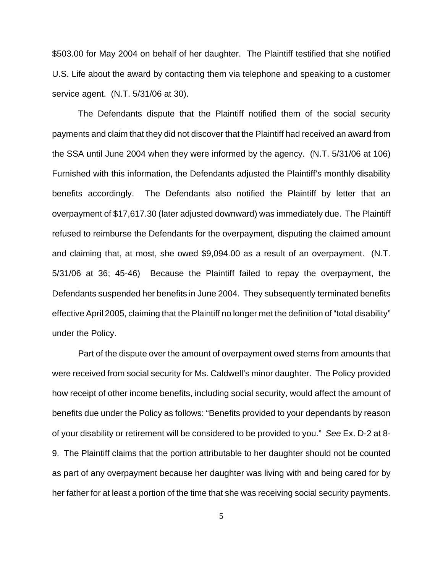\$503.00 for May 2004 on behalf of her daughter. The Plaintiff testified that she notified U.S. Life about the award by contacting them via telephone and speaking to a customer service agent. (N.T. 5/31/06 at 30).

The Defendants dispute that the Plaintiff notified them of the social security payments and claim that they did not discover that the Plaintiff had received an award from the SSA until June 2004 when they were informed by the agency. (N.T. 5/31/06 at 106) Furnished with this information, the Defendants adjusted the Plaintiff's monthly disability benefits accordingly. The Defendants also notified the Plaintiff by letter that an overpayment of \$17,617.30 (later adjusted downward) was immediately due. The Plaintiff refused to reimburse the Defendants for the overpayment, disputing the claimed amount and claiming that, at most, she owed \$9,094.00 as a result of an overpayment. (N.T. 5/31/06 at 36; 45-46) Because the Plaintiff failed to repay the overpayment, the Defendants suspended her benefits in June 2004. They subsequently terminated benefits effective April 2005, claiming that the Plaintiff no longer met the definition of "total disability" under the Policy.

Part of the dispute over the amount of overpayment owed stems from amounts that were received from social security for Ms. Caldwell's minor daughter. The Policy provided how receipt of other income benefits, including social security, would affect the amount of benefits due under the Policy as follows: "Benefits provided to your dependants by reason of your disability or retirement will be considered to be provided to you." *See* Ex. D-2 at 8- 9. The Plaintiff claims that the portion attributable to her daughter should not be counted as part of any overpayment because her daughter was living with and being cared for by her father for at least a portion of the time that she was receiving social security payments.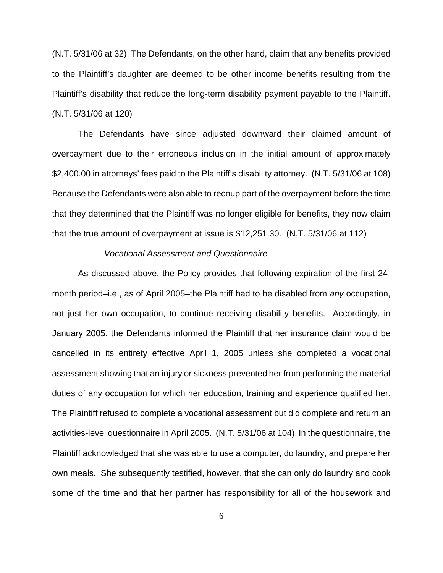(N.T. 5/31/06 at 32) The Defendants, on the other hand, claim that any benefits provided to the Plaintiff's daughter are deemed to be other income benefits resulting from the Plaintiff's disability that reduce the long-term disability payment payable to the Plaintiff. (N.T. 5/31/06 at 120)

The Defendants have since adjusted downward their claimed amount of overpayment due to their erroneous inclusion in the initial amount of approximately \$2,400.00 in attorneys' fees paid to the Plaintiff's disability attorney. (N.T. 5/31/06 at 108) Because the Defendants were also able to recoup part of the overpayment before the time that they determined that the Plaintiff was no longer eligible for benefits, they now claim that the true amount of overpayment at issue is \$12,251.30. (N.T. 5/31/06 at 112)

#### *Vocational Assessment and Questionnaire*

As discussed above, the Policy provides that following expiration of the first 24 month period–i.e., as of April 2005–the Plaintiff had to be disabled from *any* occupation, not just her own occupation, to continue receiving disability benefits. Accordingly, in January 2005, the Defendants informed the Plaintiff that her insurance claim would be cancelled in its entirety effective April 1, 2005 unless she completed a vocational assessment showing that an injury or sickness prevented her from performing the material duties of any occupation for which her education, training and experience qualified her. The Plaintiff refused to complete a vocational assessment but did complete and return an activities-level questionnaire in April 2005. (N.T. 5/31/06 at 104) In the questionnaire, the Plaintiff acknowledged that she was able to use a computer, do laundry, and prepare her own meals. She subsequently testified, however, that she can only do laundry and cook some of the time and that her partner has responsibility for all of the housework and

6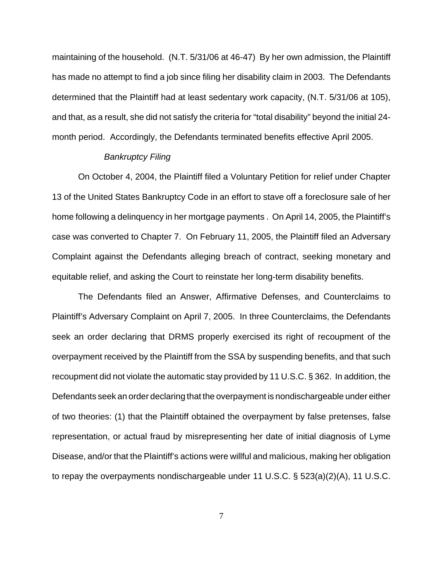maintaining of the household. (N.T. 5/31/06 at 46-47) By her own admission, the Plaintiff has made no attempt to find a job since filing her disability claim in 2003. The Defendants determined that the Plaintiff had at least sedentary work capacity, (N.T. 5/31/06 at 105), and that, as a result, she did not satisfy the criteria for "total disability" beyond the initial 24 month period. Accordingly, the Defendants terminated benefits effective April 2005.

#### *Bankruptcy Filing*

On October 4, 2004, the Plaintiff filed a Voluntary Petition for relief under Chapter 13 of the United States Bankruptcy Code in an effort to stave off a foreclosure sale of her home following a delinquency in her mortgage payments . On April 14, 2005, the Plaintiff's case was converted to Chapter 7. On February 11, 2005, the Plaintiff filed an Adversary Complaint against the Defendants alleging breach of contract, seeking monetary and equitable relief, and asking the Court to reinstate her long-term disability benefits.

The Defendants filed an Answer, Affirmative Defenses, and Counterclaims to Plaintiff's Adversary Complaint on April 7, 2005. In three Counterclaims, the Defendants seek an order declaring that DRMS properly exercised its right of recoupment of the overpayment received by the Plaintiff from the SSA by suspending benefits, and that such recoupment did not violate the automatic stay provided by 11 U.S.C. § 362. In addition, the Defendants seek an order declaring that the overpayment is nondischargeable under either of two theories: (1) that the Plaintiff obtained the overpayment by false pretenses, false representation, or actual fraud by misrepresenting her date of initial diagnosis of Lyme Disease, and/or that the Plaintiff's actions were willful and malicious, making her obligation to repay the overpayments nondischargeable under 11 U.S.C. § 523(a)(2)(A), 11 U.S.C.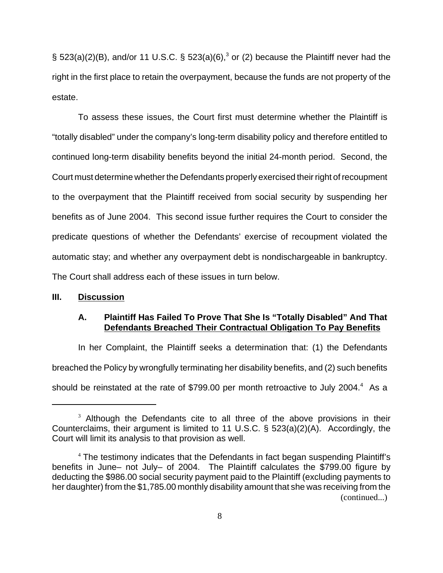§ 523(a)(2)(B), and/or 11 U.S.C. § 523(a)(6),<sup>3</sup> or (2) because the Plaintiff never had the right in the first place to retain the overpayment, because the funds are not property of the estate.

To assess these issues, the Court first must determine whether the Plaintiff is "totally disabled" under the company's long-term disability policy and therefore entitled to continued long-term disability benefits beyond the initial 24-month period. Second, the Court must determine whether the Defendants properly exercised their right of recoupment to the overpayment that the Plaintiff received from social security by suspending her benefits as of June 2004. This second issue further requires the Court to consider the predicate questions of whether the Defendants' exercise of recoupment violated the automatic stay; and whether any overpayment debt is nondischargeable in bankruptcy. The Court shall address each of these issues in turn below.

## **III. Discussion**

### **A. Plaintiff Has Failed To Prove That She Is "Totally Disabled" And That Defendants Breached Their Contractual Obligation To Pay Benefits**

In her Complaint, the Plaintiff seeks a determination that: (1) the Defendants breached the Policy by wrongfully terminating her disability benefits, and (2) such benefits should be reinstated at the rate of \$799.00 per month retroactive to July 2004. $4$  As a

 $3$  Although the Defendants cite to all three of the above provisions in their Counterclaims, their argument is limited to 11 U.S.C. § 523(a)(2)(A). Accordingly, the Court will limit its analysis to that provision as well.

<sup>&</sup>lt;sup>4</sup> The testimony indicates that the Defendants in fact began suspending Plaintiff's benefits in June– not July– of 2004. The Plaintiff calculates the \$799.00 figure by deducting the \$986.00 social security payment paid to the Plaintiff (excluding payments to her daughter) from the \$1,785.00 monthly disability amount that she was receiving from the (continued...)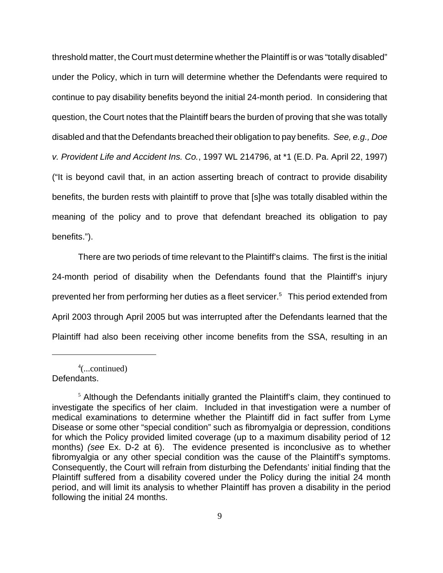threshold matter, the Court must determine whether the Plaintiff is or was "totally disabled" under the Policy, which in turn will determine whether the Defendants were required to continue to pay disability benefits beyond the initial 24-month period. In considering that question, the Court notes that the Plaintiff bears the burden of proving that she was totally disabled and that the Defendants breached their obligation to pay benefits. *See, e.g., Doe v. Provident Life and Accident Ins. Co.*, 1997 WL 214796, at \*1 (E.D. Pa. April 22, 1997) ("It is beyond cavil that, in an action asserting breach of contract to provide disability benefits, the burden rests with plaintiff to prove that [s]he was totally disabled within the meaning of the policy and to prove that defendant breached its obligation to pay benefits.").

There are two periods of time relevant to the Plaintiff's claims. The first is the initial 24-month period of disability when the Defendants found that the Plaintiff's injury prevented her from performing her duties as a fleet servicer.<sup>5</sup> This period extended from April 2003 through April 2005 but was interrupted after the Defendants learned that the Plaintiff had also been receiving other income benefits from the SSA, resulting in an

4 (...continued) Defendants.

<sup>&</sup>lt;sup>5</sup> Although the Defendants initially granted the Plaintiff's claim, they continued to investigate the specifics of her claim. Included in that investigation were a number of medical examinations to determine whether the Plaintiff did in fact suffer from Lyme Disease or some other "special condition" such as fibromyalgia or depression, conditions for which the Policy provided limited coverage (up to a maximum disability period of 12 months) *(see* Ex. D-2 at 6). The evidence presented is inconclusive as to whether fibromyalgia or any other special condition was the cause of the Plaintiff's symptoms. Consequently, the Court will refrain from disturbing the Defendants' initial finding that the Plaintiff suffered from a disability covered under the Policy during the initial 24 month period, and will limit its analysis to whether Plaintiff has proven a disability in the period following the initial 24 months.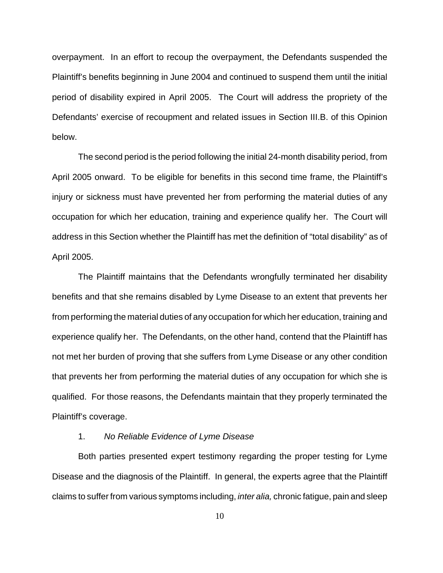overpayment. In an effort to recoup the overpayment, the Defendants suspended the Plaintiff's benefits beginning in June 2004 and continued to suspend them until the initial period of disability expired in April 2005. The Court will address the propriety of the Defendants' exercise of recoupment and related issues in Section III.B. of this Opinion below.

The second period is the period following the initial 24-month disability period, from April 2005 onward. To be eligible for benefits in this second time frame, the Plaintiff's injury or sickness must have prevented her from performing the material duties of any occupation for which her education, training and experience qualify her. The Court will address in this Section whether the Plaintiff has met the definition of "total disability" as of April 2005.

The Plaintiff maintains that the Defendants wrongfully terminated her disability benefits and that she remains disabled by Lyme Disease to an extent that prevents her from performing the material duties of any occupation for which her education, training and experience qualify her. The Defendants, on the other hand, contend that the Plaintiff has not met her burden of proving that she suffers from Lyme Disease or any other condition that prevents her from performing the material duties of any occupation for which she is qualified. For those reasons, the Defendants maintain that they properly terminated the Plaintiff's coverage.

### 1. *No Reliable Evidence of Lyme Disease*

Both parties presented expert testimony regarding the proper testing for Lyme Disease and the diagnosis of the Plaintiff. In general, the experts agree that the Plaintiff claims to suffer from various symptoms including, *inter alia,* chronic fatigue, pain and sleep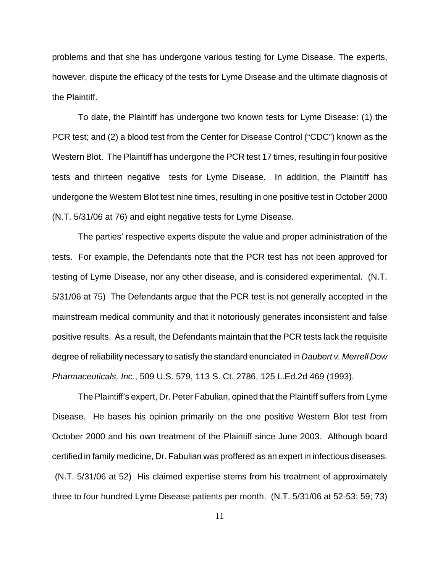problems and that she has undergone various testing for Lyme Disease. The experts, however, dispute the efficacy of the tests for Lyme Disease and the ultimate diagnosis of the Plaintiff.

To date, the Plaintiff has undergone two known tests for Lyme Disease: (1) the PCR test; and (2) a blood test from the Center for Disease Control ("CDC") known as the Western Blot. The Plaintiff has undergone the PCR test 17 times, resulting in four positive tests and thirteen negative tests for Lyme Disease. In addition, the Plaintiff has undergone the Western Blot test nine times, resulting in one positive test in October 2000 (N.T. 5/31/06 at 76) and eight negative tests for Lyme Disease.

The parties' respective experts dispute the value and proper administration of the tests. For example, the Defendants note that the PCR test has not been approved for testing of Lyme Disease, nor any other disease, and is considered experimental. (N.T. 5/31/06 at 75) The Defendants argue that the PCR test is not generally accepted in the mainstream medical community and that it notoriously generates inconsistent and false positive results. As a result, the Defendants maintain that the PCR tests lack the requisite degree of reliability necessary to satisfy the standard enunciated in *Daubert v. Merrell Dow Pharmaceuticals, Inc.*, 509 U.S. 579, 113 S. Ct. 2786, 125 L.Ed.2d 469 (1993).

The Plaintiff's expert, Dr. Peter Fabulian, opined that the Plaintiff suffers from Lyme Disease. He bases his opinion primarily on the one positive Western Blot test from October 2000 and his own treatment of the Plaintiff since June 2003. Although board certified in family medicine, Dr. Fabulian was proffered as an expert in infectious diseases. (N.T. 5/31/06 at 52) His claimed expertise stems from his treatment of approximately three to four hundred Lyme Disease patients per month. (N.T. 5/31/06 at 52-53; 59; 73)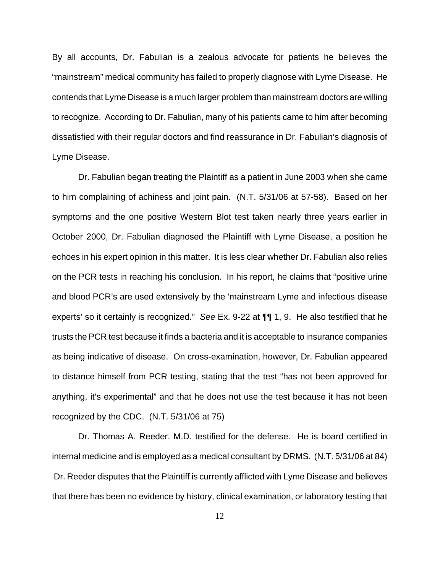By all accounts, Dr. Fabulian is a zealous advocate for patients he believes the "mainstream" medical community has failed to properly diagnose with Lyme Disease. He contends that Lyme Disease is a much larger problem than mainstream doctors are willing to recognize. According to Dr. Fabulian, many of his patients came to him after becoming dissatisfied with their regular doctors and find reassurance in Dr. Fabulian's diagnosis of Lyme Disease.

Dr. Fabulian began treating the Plaintiff as a patient in June 2003 when she came to him complaining of achiness and joint pain. (N.T. 5/31/06 at 57-58). Based on her symptoms and the one positive Western Blot test taken nearly three years earlier in October 2000, Dr. Fabulian diagnosed the Plaintiff with Lyme Disease, a position he echoes in his expert opinion in this matter. It is less clear whether Dr. Fabulian also relies on the PCR tests in reaching his conclusion. In his report, he claims that "positive urine and blood PCR's are used extensively by the 'mainstream Lyme and infectious disease experts' so it certainly is recognized." *See* Ex. 9-22 at ¶¶ 1, 9. He also testified that he trusts the PCR test because it finds a bacteria and it is acceptable to insurance companies as being indicative of disease. On cross-examination, however, Dr. Fabulian appeared to distance himself from PCR testing, stating that the test "has not been approved for anything, it's experimental" and that he does not use the test because it has not been recognized by the CDC. (N.T. 5/31/06 at 75)

Dr. Thomas A. Reeder. M.D. testified for the defense. He is board certified in internal medicine and is employed as a medical consultant by DRMS. (N.T. 5/31/06 at 84) Dr. Reeder disputes that the Plaintiff is currently afflicted with Lyme Disease and believes that there has been no evidence by history, clinical examination, or laboratory testing that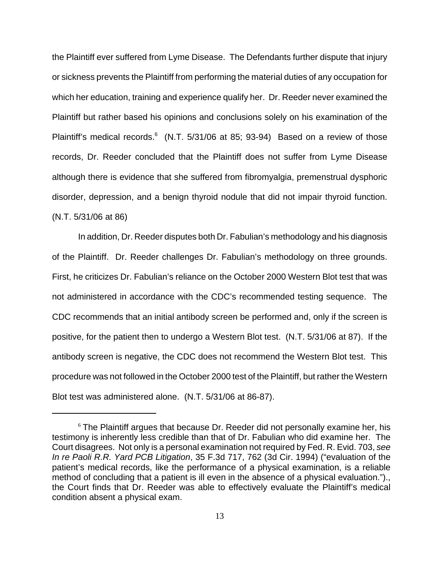the Plaintiff ever suffered from Lyme Disease. The Defendants further dispute that injury or sickness prevents the Plaintiff from performing the material duties of any occupation for which her education, training and experience qualify her. Dr. Reeder never examined the Plaintiff but rather based his opinions and conclusions solely on his examination of the Plaintiff's medical records.<sup>6</sup> (N.T. 5/31/06 at 85; 93-94) Based on a review of those records, Dr. Reeder concluded that the Plaintiff does not suffer from Lyme Disease although there is evidence that she suffered from fibromyalgia, premenstrual dysphoric disorder, depression, and a benign thyroid nodule that did not impair thyroid function. (N.T. 5/31/06 at 86)

In addition, Dr. Reeder disputes both Dr. Fabulian's methodology and his diagnosis of the Plaintiff. Dr. Reeder challenges Dr. Fabulian's methodology on three grounds. First, he criticizes Dr. Fabulian's reliance on the October 2000 Western Blot test that was not administered in accordance with the CDC's recommended testing sequence. The CDC recommends that an initial antibody screen be performed and, only if the screen is positive, for the patient then to undergo a Western Blot test. (N.T. 5/31/06 at 87). If the antibody screen is negative, the CDC does not recommend the Western Blot test. This procedure was not followed in the October 2000 test of the Plaintiff, but rather the Western Blot test was administered alone. (N.T. 5/31/06 at 86-87).

<sup>&</sup>lt;sup>6</sup> The Plaintiff argues that because Dr. Reeder did not personally examine her, his testimony is inherently less credible than that of Dr. Fabulian who did examine her. The Court disagrees. Not only is a personal examination not required by Fed. R. Evid. 703, *see In re Paoli R.R. Yard PCB Litigation*, 35 F.3d 717, 762 (3d Cir. 1994) ("evaluation of the patient's medical records, like the performance of a physical examination, is a reliable method of concluding that a patient is ill even in the absence of a physical evaluation.")., the Court finds that Dr. Reeder was able to effectively evaluate the Plaintiff's medical condition absent a physical exam.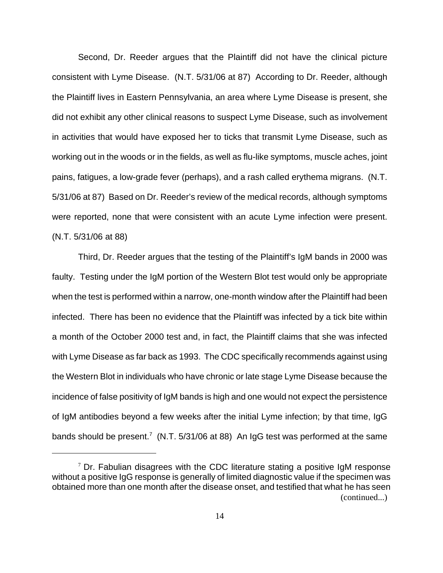Second, Dr. Reeder argues that the Plaintiff did not have the clinical picture consistent with Lyme Disease. (N.T. 5/31/06 at 87) According to Dr. Reeder, although the Plaintiff lives in Eastern Pennsylvania, an area where Lyme Disease is present, she did not exhibit any other clinical reasons to suspect Lyme Disease, such as involvement in activities that would have exposed her to ticks that transmit Lyme Disease, such as working out in the woods or in the fields, as well as flu-like symptoms, muscle aches, joint pains, fatigues, a low-grade fever (perhaps), and a rash called erythema migrans. (N.T. 5/31/06 at 87) Based on Dr. Reeder's review of the medical records, although symptoms were reported, none that were consistent with an acute Lyme infection were present. (N.T. 5/31/06 at 88)

Third, Dr. Reeder argues that the testing of the Plaintiff's IgM bands in 2000 was faulty. Testing under the IgM portion of the Western Blot test would only be appropriate when the test is performed within a narrow, one-month window after the Plaintiff had been infected. There has been no evidence that the Plaintiff was infected by a tick bite within a month of the October 2000 test and, in fact, the Plaintiff claims that she was infected with Lyme Disease as far back as 1993. The CDC specifically recommends against using the Western Blot in individuals who have chronic or late stage Lyme Disease because the incidence of false positivity of IgM bands is high and one would not expect the persistence of IgM antibodies beyond a few weeks after the initial Lyme infection; by that time, IgG bands should be present.<sup>7</sup> (N.T. 5/31/06 at 88) An IgG test was performed at the same

 $7$  Dr. Fabulian disagrees with the CDC literature stating a positive IgM response without a positive IgG response is generally of limited diagnostic value if the specimen was obtained more than one month after the disease onset, and testified that what he has seen (continued...)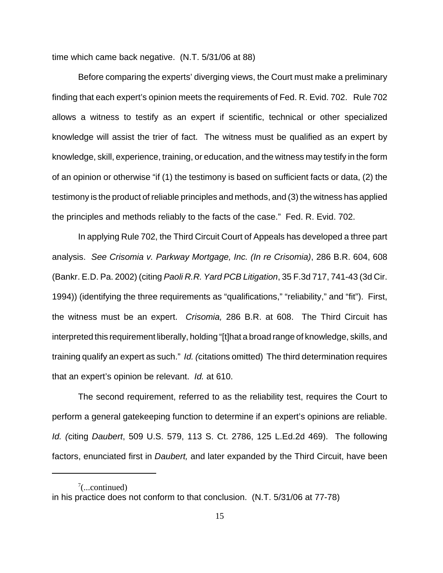time which came back negative. (N.T. 5/31/06 at 88)

Before comparing the experts' diverging views, the Court must make a preliminary finding that each expert's opinion meets the requirements of Fed. R. Evid. 702. Rule 702 allows a witness to testify as an expert if scientific, technical or other specialized knowledge will assist the trier of fact. The witness must be qualified as an expert by knowledge, skill, experience, training, or education, and the witness may testify in the form of an opinion or otherwise "if (1) the testimony is based on sufficient facts or data, (2) the testimony is the product of reliable principles and methods, and (3) the witness has applied the principles and methods reliably to the facts of the case." Fed. R. Evid. 702.

In applying Rule 702, the Third Circuit Court of Appeals has developed a three part analysis. *See Crisomia v. Parkway Mortgage, Inc. (In re Crisomia)*, 286 B.R. 604, 608 (Bankr. E.D. Pa. 2002) (citing *Paoli R.R. Yard PCB Litigation*, 35 F.3d 717, 741-43 (3d Cir. 1994)) (identifying the three requirements as "qualifications," "reliability," and "fit"). First, the witness must be an expert. *Crisomia,* 286 B.R. at 608. The Third Circuit has interpreted this requirement liberally, holding "[t]hat a broad range of knowledge, skills, and training qualify an expert as such." *Id. (*citations omitted) The third determination requires that an expert's opinion be relevant. *Id.* at 610.

The second requirement, referred to as the reliability test, requires the Court to perform a general gatekeeping function to determine if an expert's opinions are reliable. *Id. (*citing *Daubert*, 509 U.S. 579, 113 S. Ct. 2786, 125 L.Ed.2d 469). The following factors, enunciated first in *Daubert,* and later expanded by the Third Circuit, have been

 $7$ (...continued)

in his practice does not conform to that conclusion. (N.T. 5/31/06 at 77-78)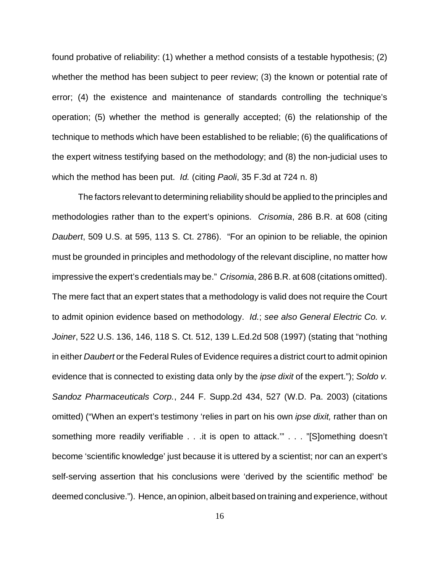found probative of reliability: (1) whether a method consists of a testable hypothesis; (2) whether the method has been subject to peer review; (3) the known or potential rate of error; (4) the existence and maintenance of standards controlling the technique's operation; (5) whether the method is generally accepted; (6) the relationship of the technique to methods which have been established to be reliable; (6) the qualifications of the expert witness testifying based on the methodology; and (8) the non-judicial uses to which the method has been put. *Id.* (citing *Paoli*, 35 F.3d at 724 n. 8)

The factors relevant to determining reliability should be applied to the principles and methodologies rather than to the expert's opinions. *Crisomia*, 286 B.R. at 608 (citing *Daubert*, 509 U.S. at 595, 113 S. Ct. 2786). "For an opinion to be reliable, the opinion must be grounded in principles and methodology of the relevant discipline, no matter how impressive the expert's credentials may be." *Crisomia*, 286 B.R. at 608 (citations omitted). The mere fact that an expert states that a methodology is valid does not require the Court to admit opinion evidence based on methodology. *Id.*; *see also General Electric Co. v. Joiner*, 522 U.S. 136, 146, 118 S. Ct. 512, 139 L.Ed.2d 508 (1997) (stating that "nothing in either *Daubert* or the Federal Rules of Evidence requires a district court to admit opinion evidence that is connected to existing data only by the *ipse dixit* of the expert."); *Soldo v. Sandoz Pharmaceuticals Corp.*, 244 F. Supp.2d 434, 527 (W.D. Pa. 2003) (citations omitted) ("When an expert's testimony 'relies in part on his own *ipse dixit,* rather than on something more readily verifiable . . .it is open to attack.'" . . . "[S]omething doesn't become 'scientific knowledge' just because it is uttered by a scientist; nor can an expert's self-serving assertion that his conclusions were 'derived by the scientific method' be deemed conclusive."). Hence, an opinion, albeit based on training and experience, without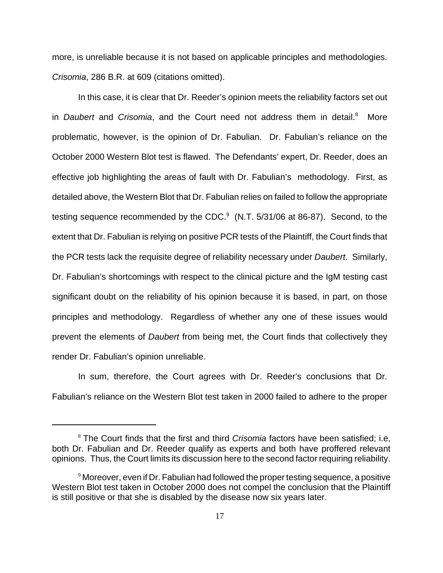more, is unreliable because it is not based on applicable principles and methodologies. *Crisomia*, 286 B.R. at 609 (citations omitted).

In this case, it is clear that Dr. Reeder's opinion meets the reliability factors set out in *Daubert* and *Crisomia*, and the Court need not address them in detail.<sup>8</sup> More problematic, however, is the opinion of Dr. Fabulian. Dr. Fabulian's reliance on the October 2000 Western Blot test is flawed. The Defendants' expert, Dr. Reeder, does an effective job highlighting the areas of fault with Dr. Fabulian's methodology. First, as detailed above, the Western Blot that Dr. Fabulian relies on failed to follow the appropriate testing sequence recommended by the CDC. $9$  (N.T. 5/31/06 at 86-87). Second, to the extent that Dr. Fabulian is relying on positive PCR tests of the Plaintiff, the Court finds that the PCR tests lack the requisite degree of reliability necessary under *Daubert*. Similarly, Dr. Fabulian's shortcomings with respect to the clinical picture and the IgM testing cast significant doubt on the reliability of his opinion because it is based, in part, on those principles and methodology. Regardless of whether any one of these issues would prevent the elements of *Daubert* from being met, the Court finds that collectively they render Dr. Fabulian's opinion unreliable.

In sum, therefore, the Court agrees with Dr. Reeder's conclusions that Dr. Fabulian's reliance on the Western Blot test taken in 2000 failed to adhere to the proper

<sup>8</sup> The Court finds that the first and third *Crisomia* factors have been satisfied; i.e, both Dr. Fabulian and Dr. Reeder qualify as experts and both have proffered relevant opinions. Thus, the Court limits its discussion here to the second factor requiring reliability.

 $^9$  Moreover, even if Dr. Fabulian had followed the proper testing sequence, a positive Western Blot test taken in October 2000 does not compel the conclusion that the Plaintiff is still positive or that she is disabled by the disease now six years later.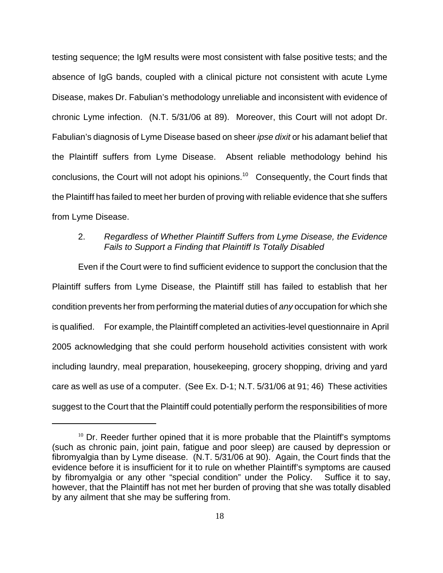testing sequence; the IgM results were most consistent with false positive tests; and the absence of IgG bands, coupled with a clinical picture not consistent with acute Lyme Disease, makes Dr. Fabulian's methodology unreliable and inconsistent with evidence of chronic Lyme infection. (N.T. 5/31/06 at 89). Moreover, this Court will not adopt Dr. Fabulian's diagnosis of Lyme Disease based on sheer *ipse dixit* or his adamant belief that the Plaintiff suffers from Lyme Disease. Absent reliable methodology behind his conclusions, the Court will not adopt his opinions.10 Consequently, the Court finds that the Plaintiff has failed to meet her burden of proving with reliable evidence that she suffers from Lyme Disease.

## 2. *Regardless of Whether Plaintiff Suffers from Lyme Disease, the Evidence Fails to Support a Finding that Plaintiff Is Totally Disabled*

Even if the Court were to find sufficient evidence to support the conclusion that the Plaintiff suffers from Lyme Disease, the Plaintiff still has failed to establish that her condition prevents her from performing the material duties of *any* occupation for which she is qualified. For example, the Plaintiff completed an activities-level questionnaire in April 2005 acknowledging that she could perform household activities consistent with work including laundry, meal preparation, housekeeping, grocery shopping, driving and yard care as well as use of a computer. (See Ex. D-1; N.T. 5/31/06 at 91; 46) These activities suggest to the Court that the Plaintiff could potentially perform the responsibilities of more

 $10$  Dr. Reeder further opined that it is more probable that the Plaintiff's symptoms (such as chronic pain, joint pain, fatigue and poor sleep) are caused by depression or fibromyalgia than by Lyme disease. (N.T. 5/31/06 at 90). Again, the Court finds that the evidence before it is insufficient for it to rule on whether Plaintiff's symptoms are caused by fibromyalgia or any other "special condition" under the Policy. Suffice it to say, however, that the Plaintiff has not met her burden of proving that she was totally disabled by any ailment that she may be suffering from.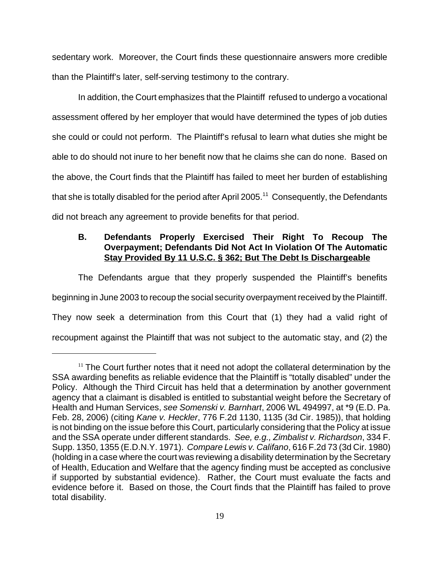sedentary work. Moreover, the Court finds these questionnaire answers more credible than the Plaintiff's later, self-serving testimony to the contrary.

In addition, the Court emphasizes that the Plaintiff refused to undergo a vocational assessment offered by her employer that would have determined the types of job duties she could or could not perform. The Plaintiff's refusal to learn what duties she might be able to do should not inure to her benefit now that he claims she can do none. Based on the above, the Court finds that the Plaintiff has failed to meet her burden of establishing that she is totally disabled for the period after April 2005.<sup>11</sup> Consequently, the Defendants did not breach any agreement to provide benefits for that period.

## **B. Defendants Properly Exercised Their Right To Recoup The Overpayment; Defendants Did Not Act In Violation Of The Automatic Stay Provided By 11 U.S.C. § 362; But The Debt Is Dischargeable**

The Defendants argue that they properly suspended the Plaintiff's benefits beginning in June 2003 to recoup the social security overpayment received by the Plaintiff. They now seek a determination from this Court that (1) they had a valid right of recoupment against the Plaintiff that was not subject to the automatic stay, and (2) the

 $11$  The Court further notes that it need not adopt the collateral determination by the SSA awarding benefits as reliable evidence that the Plaintiff is "totally disabled" under the Policy. Although the Third Circuit has held that a determination by another government agency that a claimant is disabled is entitled to substantial weight before the Secretary of Health and Human Services, *see Somenski v. Barnhart*, 2006 WL 494997, at \*9 (E.D. Pa. Feb. 28, 2006) (citing *Kane v. Heckler*, 776 F.2d 1130, 1135 (3d Cir. 1985)), that holding is not binding on the issue before this Court, particularly considering that the Policy at issue and the SSA operate under different standards. *See, e.g., Zimbalist v. Richardson*, 334 F. Supp. 1350, 1355 (E.D.N.Y. 1971). *Compare Lewis v. Califano*, 616 F.2d 73 (3d Cir. 1980) (holding in a case where the court was reviewing a disability determination by the Secretary of Health, Education and Welfare that the agency finding must be accepted as conclusive if supported by substantial evidence). Rather, the Court must evaluate the facts and evidence before it. Based on those, the Court finds that the Plaintiff has failed to prove total disability.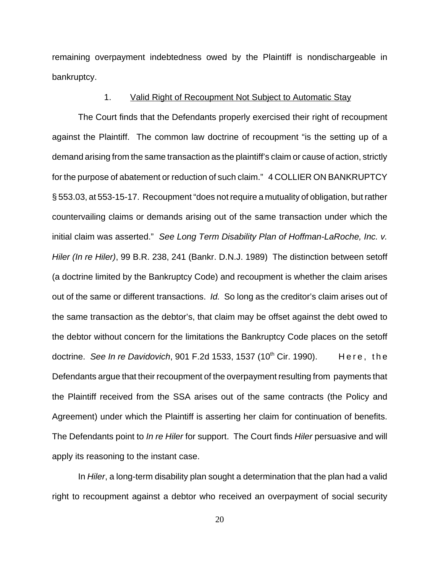remaining overpayment indebtedness owed by the Plaintiff is nondischargeable in bankruptcy.

### 1. Valid Right of Recoupment Not Subject to Automatic Stay

The Court finds that the Defendants properly exercised their right of recoupment against the Plaintiff. The common law doctrine of recoupment "is the setting up of a demand arising from the same transaction as the plaintiff's claim or cause of action, strictly for the purpose of abatement or reduction of such claim." 4 COLLIER ON BANKRUPTCY § 553.03, at 553-15-17. Recoupment "does not require a mutuality of obligation, but rather countervailing claims or demands arising out of the same transaction under which the initial claim was asserted." *See Long Term Disability Plan of Hoffman-LaRoche, Inc. v. Hiler (In re Hiler)*, 99 B.R. 238, 241 (Bankr. D.N.J. 1989) The distinction between setoff (a doctrine limited by the Bankruptcy Code) and recoupment is whether the claim arises out of the same or different transactions. *Id.* So long as the creditor's claim arises out of the same transaction as the debtor's, that claim may be offset against the debt owed to the debtor without concern for the limitations the Bankruptcy Code places on the setoff doctrine. *See In re Davidovich*, 901 F.2d 1533, 1537 (10<sup>th</sup> Cir. 1990). Here, the Defendants argue that their recoupment of the overpayment resulting from payments that the Plaintiff received from the SSA arises out of the same contracts (the Policy and Agreement) under which the Plaintiff is asserting her claim for continuation of benefits. The Defendants point to *In re Hiler* for support. The Court finds *Hiler* persuasive and will apply its reasoning to the instant case.

In *Hiler*, a long-term disability plan sought a determination that the plan had a valid right to recoupment against a debtor who received an overpayment of social security

20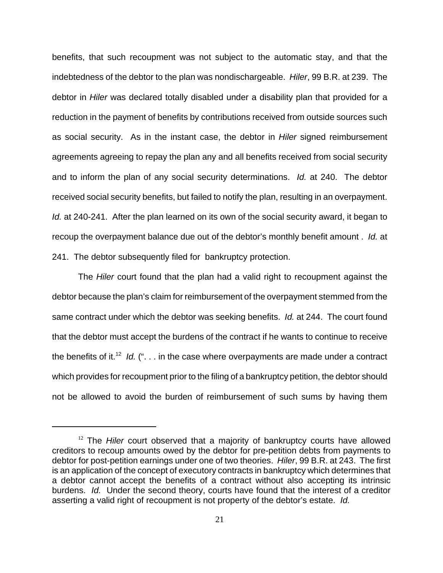benefits, that such recoupment was not subject to the automatic stay, and that the indebtedness of the debtor to the plan was nondischargeable. *Hiler*, 99 B.R. at 239. The debtor in *Hiler* was declared totally disabled under a disability plan that provided for a reduction in the payment of benefits by contributions received from outside sources such as social security. As in the instant case, the debtor in *Hiler* signed reimbursement agreements agreeing to repay the plan any and all benefits received from social security and to inform the plan of any social security determinations. *Id.* at 240. The debtor received social security benefits, but failed to notify the plan, resulting in an overpayment. *Id.* at 240-241. After the plan learned on its own of the social security award, it began to recoup the overpayment balance due out of the debtor's monthly benefit amount . *Id.* at 241. The debtor subsequently filed for bankruptcy protection.

The *Hiler* court found that the plan had a valid right to recoupment against the debtor because the plan's claim for reimbursement of the overpayment stemmed from the same contract under which the debtor was seeking benefits. *Id.* at 244. The court found that the debtor must accept the burdens of the contract if he wants to continue to receive the benefits of it.<sup>12</sup> *Id.* ("... in the case where overpayments are made under a contract which provides for recoupment prior to the filing of a bankruptcy petition, the debtor should not be allowed to avoid the burden of reimbursement of such sums by having them

<sup>&</sup>lt;sup>12</sup> The *Hiler* court observed that a majority of bankruptcy courts have allowed creditors to recoup amounts owed by the debtor for pre-petition debts from payments to debtor for post-petition earnings under one of two theories. *Hiler*, 99 B.R. at 243. The first is an application of the concept of executory contracts in bankruptcy which determines that a debtor cannot accept the benefits of a contract without also accepting its intrinsic burdens. *Id.* Under the second theory, courts have found that the interest of a creditor asserting a valid right of recoupment is not property of the debtor's estate. *Id.*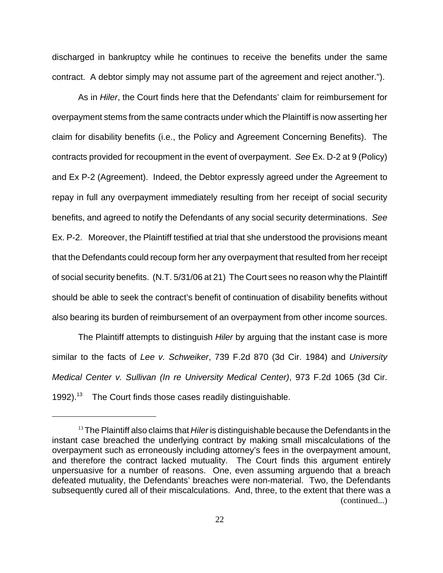discharged in bankruptcy while he continues to receive the benefits under the same contract. A debtor simply may not assume part of the agreement and reject another.").

As in *Hiler*, the Court finds here that the Defendants' claim for reimbursement for overpayment stems from the same contracts under which the Plaintiff is now asserting her claim for disability benefits (i.e., the Policy and Agreement Concerning Benefits). The contracts provided for recoupment in the event of overpayment. *See* Ex. D-2 at 9 (Policy) and Ex P-2 (Agreement). Indeed, the Debtor expressly agreed under the Agreement to repay in full any overpayment immediately resulting from her receipt of social security benefits, and agreed to notify the Defendants of any social security determinations. *See* Ex. P-2. Moreover, the Plaintiff testified at trial that she understood the provisions meant that the Defendants could recoup form her any overpayment that resulted from her receipt of social security benefits. (N.T. 5/31/06 at 21) The Court sees no reason why the Plaintiff should be able to seek the contract's benefit of continuation of disability benefits without also bearing its burden of reimbursement of an overpayment from other income sources.

The Plaintiff attempts to distinguish *Hiler* by arguing that the instant case is more similar to the facts of *Lee v. Schweiker*, 739 F.2d 870 (3d Cir. 1984) and *University Medical Center v. Sullivan (In re University Medical Center)*, 973 F.2d 1065 (3d Cir. 1992).<sup>13</sup> The Court finds those cases readily distinguishable.

<sup>&</sup>lt;sup>13</sup> The Plaintiff also claims that *Hiler* is distinguishable because the Defendants in the instant case breached the underlying contract by making small miscalculations of the overpayment such as erroneously including attorney's fees in the overpayment amount, and therefore the contract lacked mutuality. The Court finds this argument entirely unpersuasive for a number of reasons. One, even assuming arguendo that a breach defeated mutuality, the Defendants' breaches were non-material. Two, the Defendants subsequently cured all of their miscalculations. And, three, to the extent that there was a (continued...)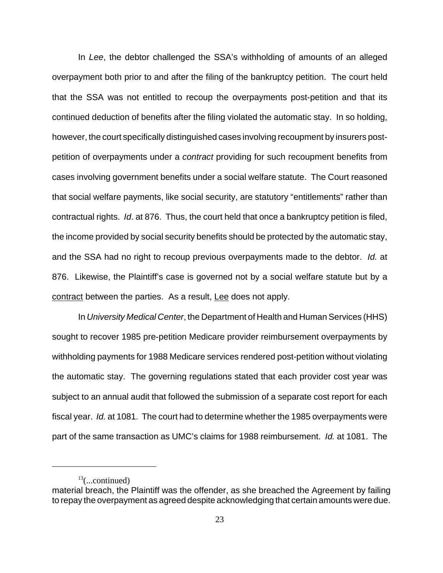In *Lee*, the debtor challenged the SSA's withholding of amounts of an alleged overpayment both prior to and after the filing of the bankruptcy petition. The court held that the SSA was not entitled to recoup the overpayments post-petition and that its continued deduction of benefits after the filing violated the automatic stay. In so holding, however, the court specifically distinguished cases involving recoupment by insurers postpetition of overpayments under a *contract* providing for such recoupment benefits from cases involving government benefits under a social welfare statute. The Court reasoned that social welfare payments, like social security, are statutory "entitlements" rather than contractual rights. *Id*. at 876. Thus, the court held that once a bankruptcy petition is filed, the income provided by social security benefits should be protected by the automatic stay, and the SSA had no right to recoup previous overpayments made to the debtor. *Id.* at 876. Likewise, the Plaintiff's case is governed not by a social welfare statute but by a contract between the parties. As a result, Lee does not apply.

In *University Medical Center*, the Department of Health and Human Services (HHS) sought to recover 1985 pre-petition Medicare provider reimbursement overpayments by withholding payments for 1988 Medicare services rendered post-petition without violating the automatic stay. The governing regulations stated that each provider cost year was subject to an annual audit that followed the submission of a separate cost report for each fiscal year. *Id.* at 1081. The court had to determine whether the 1985 overpayments were part of the same transaction as UMC's claims for 1988 reimbursement. *Id.* at 1081. The

 $13$ (...continued)

material breach, the Plaintiff was the offender, as she breached the Agreement by failing to repay the overpayment as agreed despite acknowledging that certain amounts were due.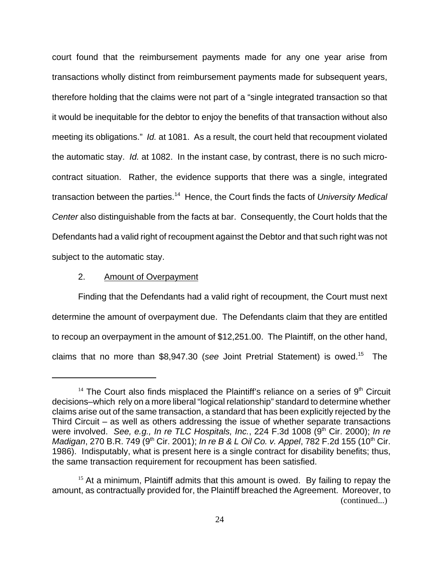court found that the reimbursement payments made for any one year arise from transactions wholly distinct from reimbursement payments made for subsequent years, therefore holding that the claims were not part of a "single integrated transaction so that it would be inequitable for the debtor to enjoy the benefits of that transaction without also meeting its obligations." *Id.* at 1081. As a result, the court held that recoupment violated the automatic stay. *Id.* at 1082. In the instant case, by contrast, there is no such microcontract situation. Rather, the evidence supports that there was a single, integrated transaction between the parties.14 Hence, the Court finds the facts of *University Medical Center* also distinguishable from the facts at bar. Consequently, the Court holds that the Defendants had a valid right of recoupment against the Debtor and that such right was not subject to the automatic stay.

#### 2. Amount of Overpayment

Finding that the Defendants had a valid right of recoupment, the Court must next determine the amount of overpayment due. The Defendants claim that they are entitled to recoup an overpayment in the amount of \$12,251.00. The Plaintiff, on the other hand, claims that no more than \$8,947.30 (*see* Joint Pretrial Statement) is owed.15 The

 $14$  The Court also finds misplaced the Plaintiff's reliance on a series of  $9<sup>th</sup>$  Circuit decisions–which rely on a more liberal "logical relationship" standard to determine whether claims arise out of the same transaction, a standard that has been explicitly rejected by the Third Circuit – as well as others addressing the issue of whether separate transactions were involved. *See, e.g., In re TLC Hospitals, Inc.*, 224 F.3d 1008 (9<sup>th</sup> Cir. 2000); *In re Madigan*, 270 B.R. 749 (9<sup>th</sup> Cir. 2001); *In re B & L Oil Co. v. Appel*, 782 F.2d 155 (10<sup>th</sup> Cir. 1986). Indisputably, what is present here is a single contract for disability benefits; thus, the same transaction requirement for recoupment has been satisfied.

 $15$  At a minimum, Plaintiff admits that this amount is owed. By failing to repay the amount, as contractually provided for, the Plaintiff breached the Agreement. Moreover, to (continued...)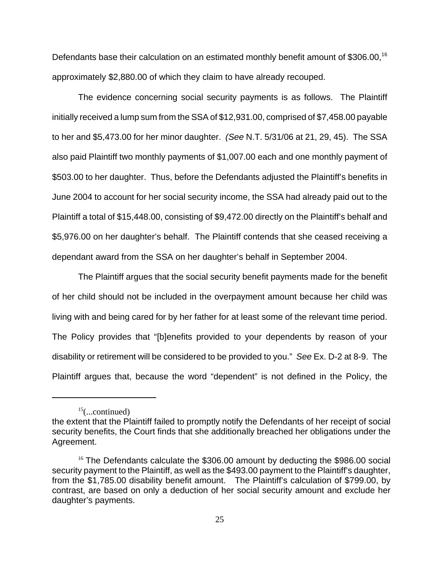Defendants base their calculation on an estimated monthly benefit amount of \$306.00,<sup>16</sup> approximately \$2,880.00 of which they claim to have already recouped.

The evidence concerning social security payments is as follows. The Plaintiff initially received a lump sum from the SSA of \$12,931.00, comprised of \$7,458.00 payable to her and \$5,473.00 for her minor daughter. *(See* N.T. 5/31/06 at 21, 29, 45). The SSA also paid Plaintiff two monthly payments of \$1,007.00 each and one monthly payment of \$503.00 to her daughter. Thus, before the Defendants adjusted the Plaintiff's benefits in June 2004 to account for her social security income, the SSA had already paid out to the Plaintiff a total of \$15,448.00, consisting of \$9,472.00 directly on the Plaintiff's behalf and \$5,976.00 on her daughter's behalf. The Plaintiff contends that she ceased receiving a dependant award from the SSA on her daughter's behalf in September 2004.

The Plaintiff argues that the social security benefit payments made for the benefit of her child should not be included in the overpayment amount because her child was living with and being cared for by her father for at least some of the relevant time period. The Policy provides that "[b]enefits provided to your dependents by reason of your disability or retirement will be considered to be provided to you." *See* Ex. D-2 at 8-9. The Plaintiff argues that, because the word "dependent" is not defined in the Policy, the

 $15$ (...continued)

the extent that the Plaintiff failed to promptly notify the Defendants of her receipt of social security benefits, the Court finds that she additionally breached her obligations under the Agreement.

<sup>&</sup>lt;sup>16</sup> The Defendants calculate the \$306.00 amount by deducting the \$986.00 social security payment to the Plaintiff, as well as the \$493.00 payment to the Plaintiff's daughter, from the \$1,785.00 disability benefit amount. The Plaintiff's calculation of \$799.00, by contrast, are based on only a deduction of her social security amount and exclude her daughter's payments.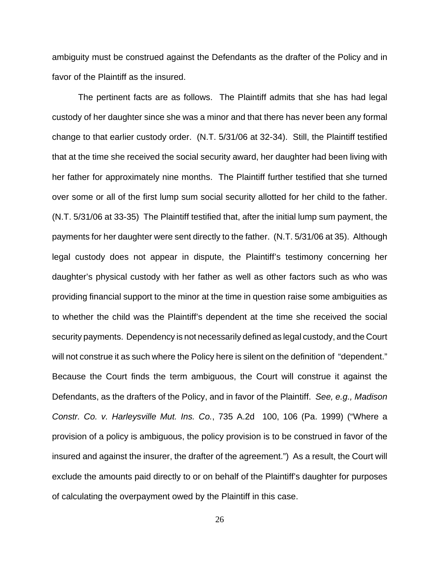ambiguity must be construed against the Defendants as the drafter of the Policy and in favor of the Plaintiff as the insured.

The pertinent facts are as follows. The Plaintiff admits that she has had legal custody of her daughter since she was a minor and that there has never been any formal change to that earlier custody order. (N.T. 5/31/06 at 32-34). Still, the Plaintiff testified that at the time she received the social security award, her daughter had been living with her father for approximately nine months. The Plaintiff further testified that she turned over some or all of the first lump sum social security allotted for her child to the father. (N.T. 5/31/06 at 33-35) The Plaintiff testified that, after the initial lump sum payment, the payments for her daughter were sent directly to the father. (N.T. 5/31/06 at 35). Although legal custody does not appear in dispute, the Plaintiff's testimony concerning her daughter's physical custody with her father as well as other factors such as who was providing financial support to the minor at the time in question raise some ambiguities as to whether the child was the Plaintiff's dependent at the time she received the social security payments. Dependency is not necessarily defined as legal custody, and the Court will not construe it as such where the Policy here is silent on the definition of "dependent." Because the Court finds the term ambiguous, the Court will construe it against the Defendants, as the drafters of the Policy, and in favor of the Plaintiff. *See, e.g., Madison Constr. Co. v. Harleysville Mut. Ins. Co.*, 735 A.2d 100, 106 (Pa. 1999) ("Where a provision of a policy is ambiguous, the policy provision is to be construed in favor of the insured and against the insurer, the drafter of the agreement.") As a result, the Court will exclude the amounts paid directly to or on behalf of the Plaintiff's daughter for purposes of calculating the overpayment owed by the Plaintiff in this case.

26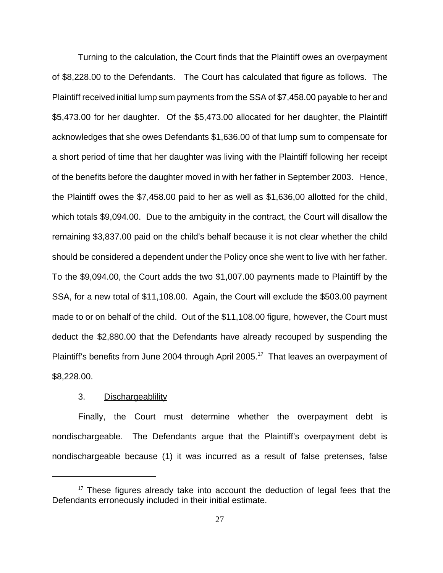Turning to the calculation, the Court finds that the Plaintiff owes an overpayment of \$8,228.00 to the Defendants. The Court has calculated that figure as follows. The Plaintiff received initial lump sum payments from the SSA of \$7,458.00 payable to her and \$5,473.00 for her daughter. Of the \$5,473.00 allocated for her daughter, the Plaintiff acknowledges that she owes Defendants \$1,636.00 of that lump sum to compensate for a short period of time that her daughter was living with the Plaintiff following her receipt of the benefits before the daughter moved in with her father in September 2003. Hence, the Plaintiff owes the \$7,458.00 paid to her as well as \$1,636,00 allotted for the child, which totals \$9,094.00. Due to the ambiguity in the contract, the Court will disallow the remaining \$3,837.00 paid on the child's behalf because it is not clear whether the child should be considered a dependent under the Policy once she went to live with her father. To the \$9,094.00, the Court adds the two \$1,007.00 payments made to Plaintiff by the SSA, for a new total of \$11,108.00. Again, the Court will exclude the \$503.00 payment made to or on behalf of the child. Out of the \$11,108.00 figure, however, the Court must deduct the \$2,880.00 that the Defendants have already recouped by suspending the Plaintiff's benefits from June 2004 through April 2005.<sup>17</sup> That leaves an overpayment of \$8,228.00.

#### 3. Dischargeablility

Finally, the Court must determine whether the overpayment debt is nondischargeable. The Defendants argue that the Plaintiff's overpayment debt is nondischargeable because (1) it was incurred as a result of false pretenses, false

 $17$  These figures already take into account the deduction of legal fees that the Defendants erroneously included in their initial estimate.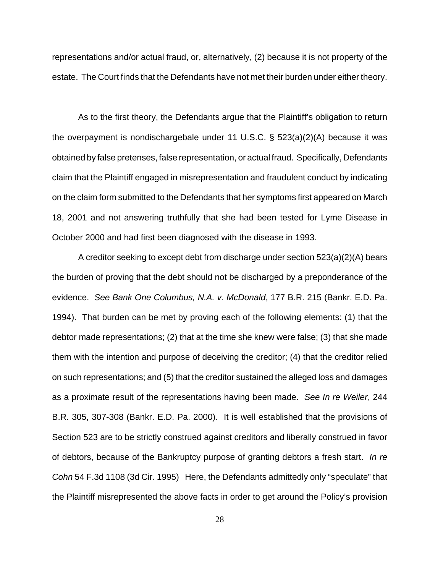representations and/or actual fraud, or, alternatively, (2) because it is not property of the estate. The Court finds that the Defendants have not met their burden under either theory.

As to the first theory, the Defendants argue that the Plaintiff's obligation to return the overpayment is nondischargebale under 11 U.S.C. § 523(a)(2)(A) because it was obtained by false pretenses, false representation, or actual fraud. Specifically, Defendants claim that the Plaintiff engaged in misrepresentation and fraudulent conduct by indicating on the claim form submitted to the Defendants that her symptoms first appeared on March 18, 2001 and not answering truthfully that she had been tested for Lyme Disease in October 2000 and had first been diagnosed with the disease in 1993.

A creditor seeking to except debt from discharge under section 523(a)(2)(A) bears the burden of proving that the debt should not be discharged by a preponderance of the evidence. *See Bank One Columbus, N.A. v. McDonald*, 177 B.R. 215 (Bankr. E.D. Pa. 1994). That burden can be met by proving each of the following elements: (1) that the debtor made representations; (2) that at the time she knew were false; (3) that she made them with the intention and purpose of deceiving the creditor; (4) that the creditor relied on such representations; and (5) that the creditor sustained the alleged loss and damages as a proximate result of the representations having been made. *See In re Weiler*, 244 B.R. 305, 307-308 (Bankr. E.D. Pa. 2000). It is well established that the provisions of Section 523 are to be strictly construed against creditors and liberally construed in favor of debtors, because of the Bankruptcy purpose of granting debtors a fresh start. *In re Cohn* 54 F.3d 1108 (3d Cir. 1995) Here, the Defendants admittedly only "speculate" that the Plaintiff misrepresented the above facts in order to get around the Policy's provision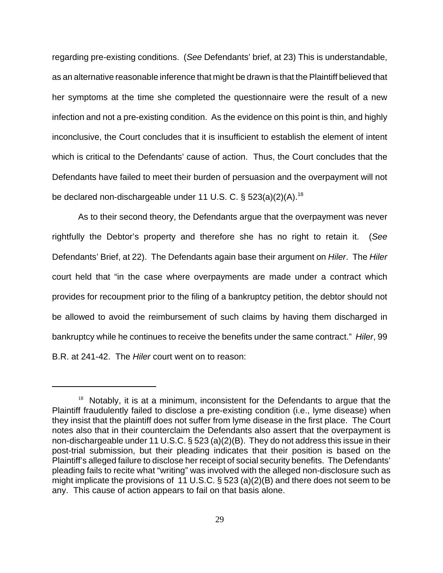regarding pre-existing conditions. (*See* Defendants' brief, at 23) This is understandable, as an alternative reasonable inference that might be drawn is that the Plaintiff believed that her symptoms at the time she completed the questionnaire were the result of a new infection and not a pre-existing condition. As the evidence on this point is thin, and highly inconclusive, the Court concludes that it is insufficient to establish the element of intent which is critical to the Defendants' cause of action. Thus, the Court concludes that the Defendants have failed to meet their burden of persuasion and the overpayment will not be declared non-dischargeable under 11 U.S. C.  $\S$  523(a)(2)(A).<sup>18</sup>

As to their second theory, the Defendants argue that the overpayment was never rightfully the Debtor's property and therefore she has no right to retain it. (*See* Defendants' Brief, at 22). The Defendants again base their argument on *Hiler*. The *Hiler* court held that "in the case where overpayments are made under a contract which provides for recoupment prior to the filing of a bankruptcy petition, the debtor should not be allowed to avoid the reimbursement of such claims by having them discharged in bankruptcy while he continues to receive the benefits under the same contract." *Hiler*, 99 B.R. at 241-42. The *Hiler* court went on to reason:

 $18$  Notably, it is at a minimum, inconsistent for the Defendants to argue that the Plaintiff fraudulently failed to disclose a pre-existing condition (i.e., lyme disease) when they insist that the plaintiff does not suffer from lyme disease in the first place. The Court notes also that in their counterclaim the Defendants also assert that the overpayment is non-dischargeable under 11 U.S.C. § 523 (a)(2)(B). They do not address this issue in their post-trial submission, but their pleading indicates that their position is based on the Plaintiff's alleged failure to disclose her receipt of social security benefits. The Defendants' pleading fails to recite what "writing" was involved with the alleged non-disclosure such as might implicate the provisions of 11 U.S.C. § 523 (a)(2)(B) and there does not seem to be any. This cause of action appears to fail on that basis alone.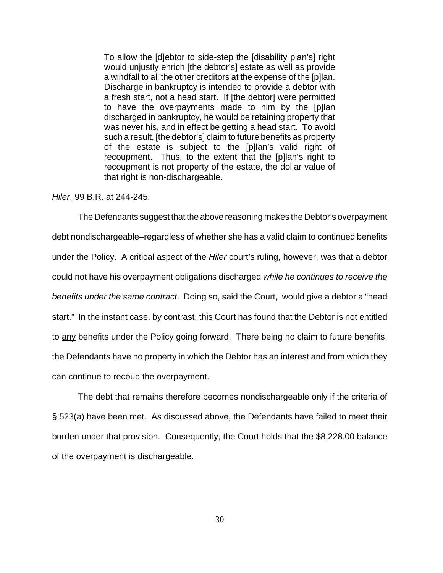To allow the [d]ebtor to side-step the [disability plan's] right would unjustly enrich [the debtor's] estate as well as provide a windfall to all the other creditors at the expense of the [p]lan. Discharge in bankruptcy is intended to provide a debtor with a fresh start, not a head start. If [the debtor] were permitted to have the overpayments made to him by the [p]lan discharged in bankruptcy, he would be retaining property that was never his, and in effect be getting a head start. To avoid such a result, [the debtor's] claim to future benefits as property of the estate is subject to the [p]lan's valid right of recoupment. Thus, to the extent that the [p]lan's right to recoupment is not property of the estate, the dollar value of that right is non-dischargeable.

*Hiler*, 99 B.R. at 244-245.

The Defendants suggest that the above reasoning makes the Debtor's overpayment debt nondischargeable–regardless of whether she has a valid claim to continued benefits under the Policy. A critical aspect of the *Hiler* court's ruling, however, was that a debtor could not have his overpayment obligations discharged *while he continues to receive the benefits under the same contract*. Doing so, said the Court, would give a debtor a "head start." In the instant case, by contrast, this Court has found that the Debtor is not entitled to any benefits under the Policy going forward. There being no claim to future benefits, the Defendants have no property in which the Debtor has an interest and from which they can continue to recoup the overpayment.

The debt that remains therefore becomes nondischargeable only if the criteria of § 523(a) have been met. As discussed above, the Defendants have failed to meet their burden under that provision. Consequently, the Court holds that the \$8,228.00 balance of the overpayment is dischargeable.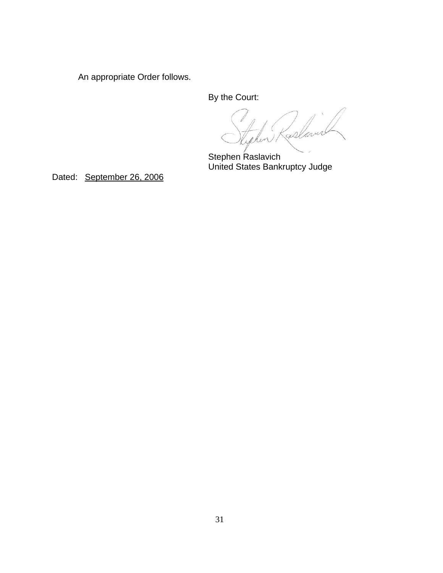An appropriate Order follows.

By the Court:

Kablar

Stephen Raslavich United States Bankruptcy Judge

Dated: September 26, 2006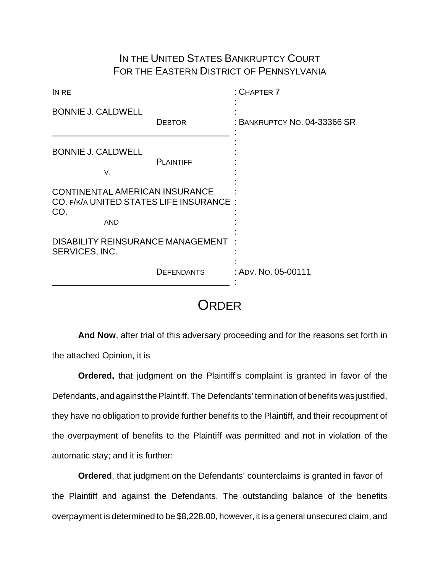## IN THE UNITED STATES BANKRUPTCY COURT FOR THE EASTERN DISTRICT OF PENNSYLVANIA

| IN RE                                                                                           |                   | $:$ CHAPTER $7$              |
|-------------------------------------------------------------------------------------------------|-------------------|------------------------------|
| <b>BONNIE J. CALDWELL</b><br><b>DEBTOR</b>                                                      |                   | : BANKRUPTCY NO. 04-33366 SR |
| <b>BONNIE J. CALDWELL</b><br>٧.                                                                 | <b>PLAINTIFF</b>  |                              |
| CONTINENTAL AMERICAN INSURANCE<br>CO. F/K/A UNITED STATES LIFE INSURANCE :<br>CO.<br><b>AND</b> |                   |                              |
| <b>DISABILITY REINSURANCE MANAGEMENT</b><br>SERVICES, INC.                                      |                   |                              |
|                                                                                                 | <b>DEFENDANTS</b> | : ADV. NO. 05-00111          |

# **ORDER**

**And Now**, after trial of this adversary proceeding and for the reasons set forth in the attached Opinion, it is

**Ordered,** that judgment on the Plaintiff's complaint is granted in favor of the Defendants, and against the Plaintiff. The Defendants' termination of benefits was justified, they have no obligation to provide further benefits to the Plaintiff, and their recoupment of the overpayment of benefits to the Plaintiff was permitted and not in violation of the automatic stay; and it is further:

**Ordered**, that judgment on the Defendants' counterclaims is granted in favor of the Plaintiff and against the Defendants. The outstanding balance of the benefits overpayment is determined to be \$8,228.00, however, it is a general unsecured claim, and